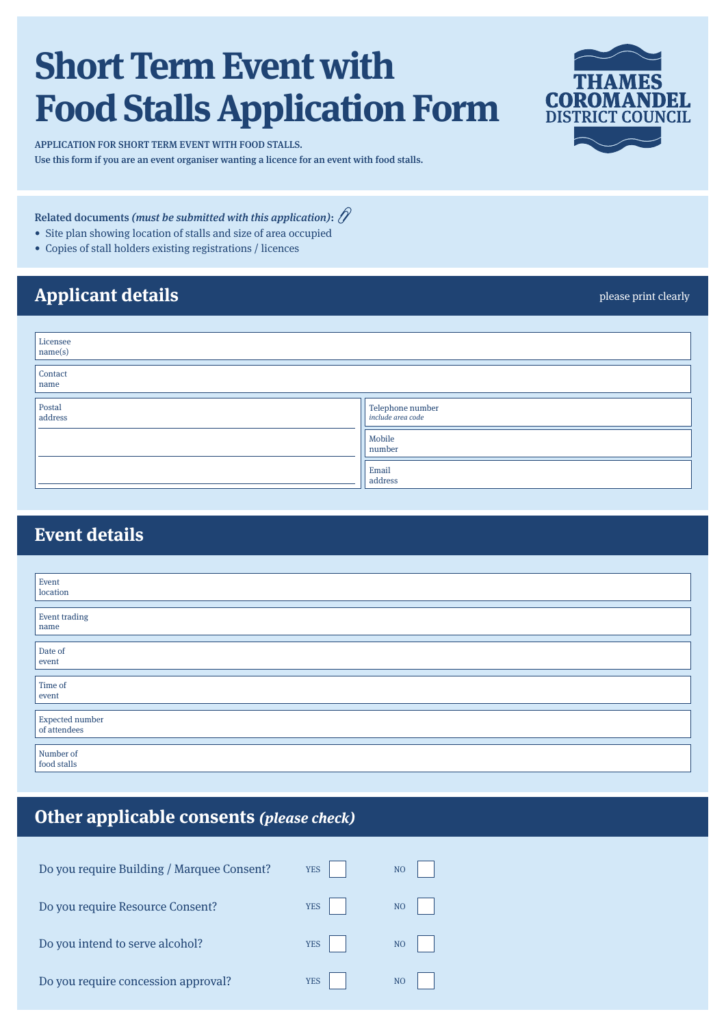# **Short Term Event with Food Stalls Application Form**

APPLICATION FOR SHORT TERM EVENT WITH FOOD STALLS. Use this form if you are an event organiser wanting a licence for an event with food stalls.

Related documents (must be submitted with this application):  $\hat{\mathcal{P}}$ 

- Site plan showing location of stalls and size of area occupied
- • Copies of stall holders existing registrations / licences

## **Applicant details**

| Licensee<br>name(s)                   |                                              |
|---------------------------------------|----------------------------------------------|
| Contact<br>name<br><u> Tanzania (</u> |                                              |
| Postal<br>address                     | Telephone number<br><i>include area code</i> |
|                                       | Mobile<br>number                             |
|                                       | Email<br>address                             |

### **Event details**

| Event                           |
|---------------------------------|
| location                        |
|                                 |
| <b>Event trading</b>            |
| name                            |
|                                 |
| Date of                         |
| event                           |
|                                 |
| Time of                         |
| event                           |
|                                 |
|                                 |
|                                 |
|                                 |
| Expected number<br>of attendees |
|                                 |
| Number of<br>food stalls        |

### **Other applicable consents (please check)**

| Do you require Building / Marquee Consent? | <b>YES</b> | N <sub>O</sub> |
|--------------------------------------------|------------|----------------|
| Do you require Resource Consent?           | <b>YES</b> | NO             |
| Do you intend to serve alcohol?            | <b>YES</b> | NO             |
| Do you require concession approval?        | <b>YES</b> | N <sub>O</sub> |



please print clearly